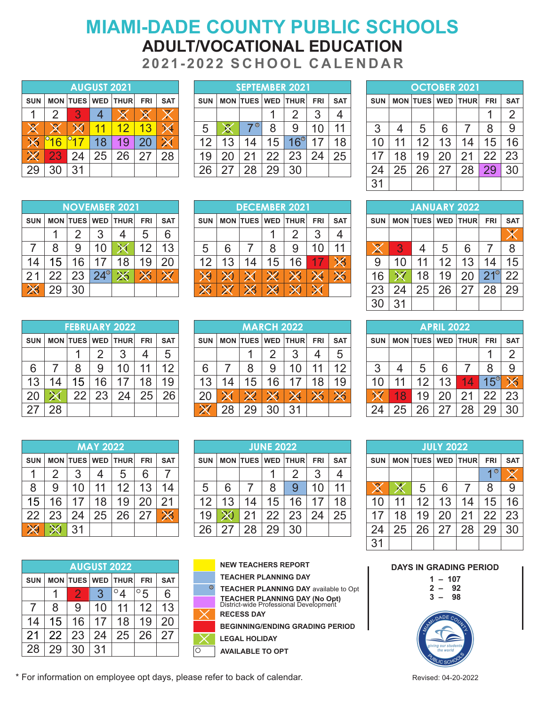# **2021-2022 S C H O O L C A L E N D A R MIAMI-DADE COUNTY PUBLIC SCHOOLS ADULT/VOCATIONAL EDUCATION**

|            |               |    | <b>AUGUST 2021</b> |                   |            |            |            |     | <b>SEPTEMB</b> |    |
|------------|---------------|----|--------------------|-------------------|------------|------------|------------|-----|----------------|----|
| <b>SUN</b> |               |    |                    | MON TUES WED THUR | <b>FRI</b> | <b>SAT</b> | <b>SUN</b> |     | MON TUES WE    |    |
|            | $\mathcal{P}$ | З  |                    |                   |            |            |            |     |                |    |
|            |               |    |                    | 12                | 13         |            | 5          |     | <b>a</b>       | 8  |
|            | 6             |    | 18                 | 19                | 20         |            | 12         | 13  | 14             | 15 |
|            | 23            | 24 | 25                 | 26                | 27         | 28         | 19         | 20  | 21             | 22 |
| 29         | 30            | 31 |                    |                   |            |            | 26         | -27 | 28             | 29 |

|                          |    |                 | <b>AUGUST 2021</b> |             |            |            |            |        |                     |    | <b>SEPTEMBER 2021</b> |     |             |            |            |             |                    | <b>OCTOBER 2021</b> |     |            |
|--------------------------|----|-----------------|--------------------|-------------|------------|------------|------------|--------|---------------------|----|-----------------------|-----|-------------|------------|------------|-------------|--------------------|---------------------|-----|------------|
| <b>SUN</b>               |    | <b>MON TUES</b> | <b>WED</b>         | <b>THUR</b> | <b>FRI</b> | <b>SAT</b> | <b>SUN</b> |        | <b>MON TUES WED</b> |    | <b>THUR</b>           | FRI | <b>SAT</b>  | <b>SUN</b> | <b>MON</b> | <b>TUES</b> | <b>WED</b>         | <b>THURI</b>        | FRI | <b>SAT</b> |
|                          |    |                 |                    | $\boxtimes$ | 20         |            |            |        |                     |    | n                     | ◠   |             |            |            |             |                    |                     |     |            |
| $\bm{\mathsf{X}}$        | х  |                 |                    |             | 3          |            | 5          | o<br>₩ | ◉                   |    | 9                     |     |             | ⌒<br>J     |            |             | 6                  |                     |     | 9          |
| $\times$                 | 16 |                 | 0                  | 19          |            |            | 1つ         | 3      | 4                   | 5  | $16^{\circ}$          |     | $\triangle$ |            | 11         |             | 1 오<br>U           |                     | 5   | 16         |
| $\boldsymbol{\varkappa}$ | 23 |                 | 25                 | 26          |            | 28         | 19         | ററ     |                     | つつ | 23                    |     | 25          |            | 8          | ر (         | . $2^{\mathsf{c}}$ | ◠                   |     | 23         |
| 29                       | 30 | -21             |                    |             |            |            | 26         | 5      |                     | 29 | 30                    |     |             | 24         | 25         | 26          | ◠                  | 28                  |     | 30         |
|                          |    |                 |                    |             |            |            |            |        |                     |    |                       |     |             | $ -$       |            |             |                    |                     |     |            |

|            |    |    |    | <b>OCTOBER 2021</b> |            |            |
|------------|----|----|----|---------------------|------------|------------|
| <b>SUN</b> |    |    |    | MON TUES WED THUR   | <b>FRI</b> | <b>SAT</b> |
|            |    |    |    |                     |            | 2          |
| 3          | 4  | 5  | 6  | 7                   | 8          | 9          |
| 10         | 11 | 12 | 13 | 14                  | 15         | 16         |
| 17         | 18 | 19 | 20 | 21                  | 22         | 23         |
| 24         | 25 | 26 | 27 | 28                  | 29         | 30         |
| 31         |    |    |    |                     |            |            |

|            |    |    |                | <b>NOVEMBER 2021</b>     |            |            |                    |            |     |                 | <b>DECEMBER 2021</b>      |            |            |             |                                                   | <b>JANUAR</b>       |    |
|------------|----|----|----------------|--------------------------|------------|------------|--------------------|------------|-----|-----------------|---------------------------|------------|------------|-------------|---------------------------------------------------|---------------------|----|
| <b>SUN</b> |    |    |                | <b>MON TUES WED THUR</b> | <b>FRI</b> | <b>SAT</b> | <b>SUN</b>         |            |     |                 | <b>MON TUES WED THURE</b> | <b>FRI</b> | <b>SAT</b> | <b>SUN</b>  |                                                   | <b>MON TUES WED</b> |    |
|            |    |    |                |                          | ხ          | 6          |                    |            |     |                 |                           | ◠          |            |             |                                                   |                     |    |
|            | 8  | 9  | $\overline{0}$ |                          | 12         | 13         | 5                  | 6          |     |                 | 9                         | 0          | 11         | $\sim$<br>△ | $\bigcap$<br>w                                    |                     | 5  |
| 14         | 5  | 6  | 7              | 18                       | 19         | 20         | イク                 | 13         | 14  | 15 <sub>1</sub> | 6                         |            | ╳          | 9           | 10                                                | 11                  | 12 |
| 21         | າາ | 23 | $24^{\circ}$   | 26                       | 26         | 7<br>Z.    | ١Ø                 |            | ∕≺  | X               | <b>TAN</b>                | $\lambda$  | ∠          | 6           | $\boldsymbol{\lambda}$ $\boldsymbol{\mathcal{A}}$ | 18                  | 19 |
| 28         | 29 | 30 |                |                          |            |            | $\mathbf{M}$<br>ZQ | 877<br>. . | ZV. | 29              |                           |            |            | 23          |                                                   | 25                  | 26 |

|            |    |    |    | <b>FEBRUARY 2022</b>  |            |                   |            |                | M  |
|------------|----|----|----|-----------------------|------------|-------------------|------------|----------------|----|
| <b>SUN</b> |    |    |    | MON TUES   WED   THUR | <b>FRI</b> | <b>SAT</b>        | <b>SUN</b> | <b>MON TUE</b> |    |
|            |    |    | 2  |                       |            | 5                 |            |                |    |
| 6          |    | 8  | 9  | 10                    |            | $12 \overline{ }$ | 6          |                | 8  |
| 13         | 14 | 15 | 16 | 17                    | 18         | 19                | 13         | 14             | 15 |
| 20         |    | 22 | 23 | 24                    | 25         | 26                | 20         |                |    |
| 27         | 28 |    |    |                       |            |                   |            |                | 29 |

|            |    |                 |       | <b>FEBRUARY 2022</b> |            |            |            |    |             | <b>MARCH 2022</b> |                          |     |            |            |    |                     | <b>APRIL 2022</b> |             |            |            |
|------------|----|-----------------|-------|----------------------|------------|------------|------------|----|-------------|-------------------|--------------------------|-----|------------|------------|----|---------------------|-------------------|-------------|------------|------------|
| <b>SUN</b> |    | <b>MON TUES</b> | l WED | <b>THUR</b>          | <b>FRI</b> | <b>SAT</b> | <b>SUN</b> |    |             |                   | <b>MON TUES WED THUR</b> | FRI | <b>SAT</b> | <b>SUN</b> |    | <b>MON TUES WED</b> |                   | <b>THUR</b> | FRI        | <b>SAT</b> |
|            |    |                 |       | n                    | 4          | ა          |            |    |             |                   | בי<br>J                  | 4   |            |            |    |                     |                   |             |            | c          |
| 6          |    |                 | 9     |                      |            | ィヘ         | 6          |    |             | a                 | 10                       |     | $\Delta$   | 3          |    |                     | 6                 |             |            | 9          |
| 13         | 14 | 15              | 16    | 17                   | 8          | 19         | 13         | 4  | $5^{\circ}$ | 6                 | 17                       | 8   |            |            | 11 |                     | 13                | 14          | $15^\circ$ |            |
| 20         |    | ົດ              | つつ    | 24                   | 25         | 26         | 20         |    | ZX.         |                   | 24                       | ZК  |            | X          | 8  | 19                  | າດ                | ີ           |            | 23         |
| 27         | 28 |                 |       |                      |            |            | X          | 28 |             | 30                | 31                       |     |            | 24         | 25 | 26                  | ን7                | 28          |            | 30         |

|            |    |    | <b>MAY 2022</b> |                   |            |            |            |    |                    | <b>JUNE</b>    |
|------------|----|----|-----------------|-------------------|------------|------------|------------|----|--------------------|----------------|
| <b>SUN</b> |    |    |                 | MON TUES WED THUR | <b>FRI</b> | <b>SAT</b> | <b>SUN</b> |    | <b>MON TUES WE</b> |                |
|            | 2  |    |                 | 5                 | 6          |            |            |    |                    |                |
| 8          |    | 10 | 11              | 12                | 13         | 14         | 5          | 6  |                    | 8              |
| 15         | 16 | 17 | 18              | 19                | 20         | 21         | 12         | 13 | 14                 | 15             |
| 22         | 23 | 24 | 25              | 26                | 27         | $\chi$     | 19         |    | 21                 | 22             |
|            |    | 31 |                 |                   |            |            |            |    | 28                 | 2 <sup>5</sup> |

|            |    |    | <b>AUGUST 2022</b> |                   |             |            |
|------------|----|----|--------------------|-------------------|-------------|------------|
| <b>SUN</b> |    |    |                    | MON TUES WED THUR | <b>FRI</b>  | <b>SAT</b> |
|            |    | 2  | 3                  |                   | $^{\circ}5$ | 6          |
|            | 8  | 9  | 10                 | 11                | 12          | 13         |
| 14         | 15 | 16 | 17                 | 18                | 19          | 20         |
| 21         | 22 | 23 | 24                 | 25                | 26          | 27         |
| 28         | 29 | 30 | 31                 |                   |             |            |

|            |    |                     | <b>MAY 2022</b> |             |                 |            |            |    |    | <b>JUNE 2022</b> |                       |     |            |                |    |                     | <b>JULY 2022</b> |             |            |            |
|------------|----|---------------------|-----------------|-------------|-----------------|------------|------------|----|----|------------------|-----------------------|-----|------------|----------------|----|---------------------|------------------|-------------|------------|------------|
| <b>SUN</b> |    | <b>MON TUES WED</b> |                 | <b>THUR</b> | <b>FRI</b>      | <b>SAT</b> | <b>SUN</b> |    |    |                  | MON TUES   WED   THUR | FRI | <b>SAT</b> | <b>SUN</b>     |    | <b>MON TUES WED</b> |                  | <b>THUR</b> | FRI        | <b>SAT</b> |
|            |    |                     | 4               | 5           | 6               |            |            |    |    |                  | ⌒                     |     |            |                |    |                     |                  |             | <b>4</b> ® | ∕          |
| 8          | 9  |                     |                 | 12          | 13 <sup>°</sup> |            | 5          | 6  |    |                  | 9                     |     |            | $\bullet$<br>⊠ |    | G                   | 6                |             |            | g          |
| 15         | 16 |                     | 8               | 19          | 20              | つ1         | イク         | 13 | 14 | 5                | 6                     |     | 18         |                | 11 | 1つ                  | 13               | 14          | 5          | 16         |
| 22         | 23 | 24                  | 25              | 26          |                 | $\chi$     | 19         |    |    | つつ               | 23                    | 24  | 25         |                | 8  | 19                  | ററ               | つ1          | ററ         | 23         |
| $\bowtie$  | 30 | 31                  |                 |             |                 |            | 26         | ヘラ | 28 | 29               | 30                    |     |            | 24             | 25 |                     | <u>ົ</u>         | 28          |            | 30         |
|            |    |                     |                 |             |                 |            |            |    |    |                  |                       |     |            | $\sim$ $\sim$  |    |                     |                  |             |            |            |

|   | <b>NEW TEACHERS REPORT</b>                                                     |
|---|--------------------------------------------------------------------------------|
|   | <b>TEACHER PLANNING DAY</b>                                                    |
| ◉ | <b>TEACHER PLANNING DAY available to Opt</b>                                   |
|   | <b>TEACHER PLANNING DAY (No Opt)</b><br>District-wide Professional Development |
|   |                                                                                |

**RECESS DAY**

**BEGINNING/ENDING GRADING PERIOD**

**LEGAL HOLIDAY**

**AVAILABLE TO OPT**

|    | ER 2021           |            |            |            |                |                    |                | <b>DECEMBER 2021</b>      |            |            |                   |    |    |    | JANUARY 2022              |            |            |
|----|-------------------|------------|------------|------------|----------------|--------------------|----------------|---------------------------|------------|------------|-------------------|----|----|----|---------------------------|------------|------------|
|    | <b>THUR</b>       | <b>FRI</b> | <b>SAT</b> | <b>SUN</b> |                |                    |                | <b>MON TUES WED THURE</b> | <b>FRI</b> | <b>SAT</b> | <b>SUN</b>        |    |    |    | <b>MON TUES WED THURE</b> | <b>FRI</b> | <b>SAT</b> |
|    | 4                 | 5          | 6          |            |                |                    |                | റ                         | 3          | 4          |                   |    |    |    |                           |            | Ŵ<br>▼     |
|    |                   | 12         | 3          | 5          | 6              |                    | 8              | 9                         | 10         | 11         | $\bm{\mathsf{X}}$ | 3  | 4  | 5  | 6                         |            | 8          |
|    | 18                | 19         | 20         | 12         | 3              | 14                 | 5              | 6                         | 7          | ╳          | 9                 | 10 | 11 | 12 | 13                        | 14         | 15         |
| DI | $\boldsymbol{\%}$ | 26         | 87<br>Z    | ١Ø         | e de la partie | - 1                | $\pmb{\times}$ | Ä                         | 24         | ╳          | 16                |    | 8  | 19 | 20                        | 740        | 22         |
|    |                   |            |            | -          | 7<br>-         | $\cancel{\bowtie}$ | X              |                           | ↷          |            | 23                | 24 | 25 | 26 | つフ                        | 28         | 29         |
|    |                   |            |            |            |                |                    |                |                           |            |            | 30                | 31 |    |    |                           |            |            |

|                  |    |    | <b>APRIL 2022</b> |                   |            |              |
|------------------|----|----|-------------------|-------------------|------------|--------------|
| <b>SUN</b>       |    |    |                   | MON TUES WED THUR | <b>FRI</b> | <b>SAT</b>   |
|                  |    |    |                   |                   |            | 2            |
| 3                | 4  | 5  | 6                 | 7                 | 8          | 9            |
| 10               | 11 | 12 | 13                | 14                | $15^\circ$ | $\checkmark$ |
| $\bm{\varkappa}$ | 18 | 19 | 20                | 21                | 22         | 23           |
| 24               | 25 | 26 | 27                | 28                | 29         | 30           |

| <b>JULY 2022</b>  |    |    |    |                   |            |            |  |
|-------------------|----|----|----|-------------------|------------|------------|--|
| <b>SUN</b>        |    |    |    | MON TUES WED THUR | <b>FRI</b> | <b>SAT</b> |  |
|                   |    |    |    |                   | ◉          |            |  |
| $\bm{\mathsf{X}}$ |    | 5  | 6  |                   | 8          | 9          |  |
| 10                | 11 | 12 | 13 | 14                | 15         | 16         |  |
| 17                | 18 | 19 | 20 | 21                | 22         | 23         |  |
| 24                | 25 | 26 | 27 | 28                | 29         | 30         |  |
| 31                |    |    |    |                   |            |            |  |

#### **DAYS IN GRADING PERIOD**





\* For information on employee opt days, please refer to back of calendar. Revised: 04-20-2022